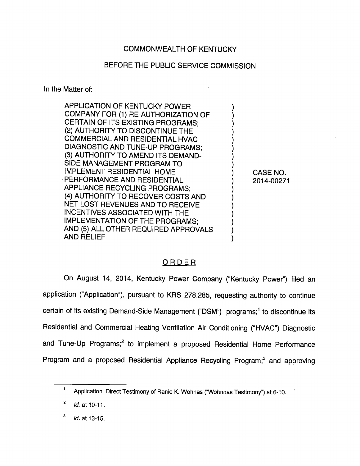# COMMONWEALTH OF KENTUCKY

# BEFORE THE PUBLIC SERVICE COMMISSION

In the Matter of:

APPLICATION OF KENTUCKY POWER COMPANY FOR (1) RE-AUTHORIZATION OF CERTAIN OF ITS EXISTING PROGRAMS; (2) AUTHORITY TO DISCONTINUE THE COMMERCIAL AND RESIDENTIAL HVAC DIAGNOSTIC AND TUNE-UP PROGRAMS; (3) AUTHORITY TO AMEND ITS DEMAND-SIDE MANAGEMENT PROGRAM TO IMPLEMENT RESIDENTIAL HOME PERFORMANCE AND RESIDENTIAL APPLIANCE RECYCLING PROGRAMS; (4) AUTHORITY TO RECOVER COSTS AND NET LOST REVENUES AND TO RECEIVE INCENTIVES ASSOCIATED WITH THE IMPLEMENTATION OF THE PROGRAMS; AND (5) ALL OTHER REQUIRED APPROVALS AND RELIEF

CASE NO. 2014-00271

## ORDER

On August 14, 2014, Kentucky Power Company ("Kentucky Power") filed an application ("Application"), pursuant to KRS 278.285, requesting authority to continue certain of its existing Demand-Side Management ("DSM") programs;<sup>1</sup> to discontinue its Residential and Commercial Heating Ventilation Air Conditioning ("HVAC") Diagnostic and Tune-Up Programs;<sup>2</sup> to implement a proposed Residential Home Performance Program and a proposed Residential Appliance Recycling Program;<sup>3</sup> and approving

 $\mathbf{3}$ Id. at 13-15.

 $\mathbf 1$ Application, Direct Testimony of Ranie K. Wohnas ("Wohnhas Testimony") at 6-10.

 $\mathbf{2}$ Id. at 10-11.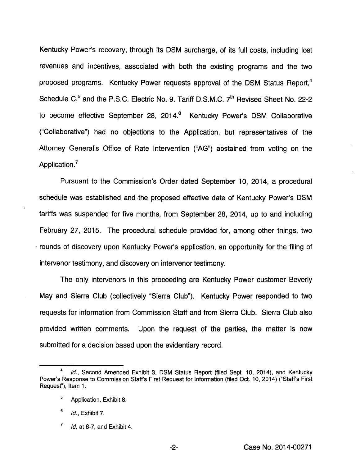Kentucky Power's recovery, through its DSM surcharge, of its full costs, including lost revenues and incentives, associated with both the existing programs and the two proposed programs. Kentucky Power requests approval of the DSM Status Report,<sup>4</sup> Schedule  $C_1^5$  and the P.S.C. Electric No. 9. Tariff D.S.M.C.  $7<sup>th</sup>$  Revised Sheet No. 22-2 to become effective September 28, 2014.<sup>6</sup> Kentucky Power's DSM Collaborative ("Collaborative") had no objections to the Application, but representatives of the Attorney General's Office of Rate Intervention ("AG") abstained from voting on the Application.<sup>7</sup>

Pursuant to the Commission's Order dated September 10, 2014, a procedural schedule was established and the proposed effective date of Kentucky Power's DSM tariffs was suspended for five months, from September 28, 2014, up to and including February 27, 2015. The procedural schedule provided for, among other things, two rounds of discovery upon Kentucky Power's application, an opportunity for the filing of intervenor testimony, and discovery on intervenor testimony.

The only intervenors in this proceeding are Kentucky Power customer Beverly May and Sierra Club (collectively "Sierra Club"). Kentucky Power responded to two requests for information from Commission Staff and from Sierra Club. Sierra Club also provided written comments. Upon the request of the parties, the matter is now submitted for a decision based upon the evidentiary record.

Id., Second Amended Exhibit 3, DSM Status Report (filed Sept. 10, 2014), and Kentucky Power's Response to Commission Staffs First Request for information (filed Oct. 10, 2014) ("Staffs First Requesf), Item 1.

<sup>®</sup> Application, Exhibit 8.

 $<sup>6</sup>$  *Id.*, Exhibit 7.</sup>

 $^7$  Id. at 6-7, and Exhibit 4.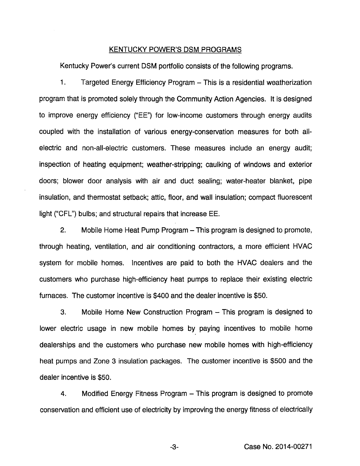#### KENTUCKY POWER'S DSM PROGRAMS

Kentucky Power's current DSM portfolio consists of the following programs.

1. Targeted Energy Efficiency Program - This is a residential weatherization program that is promoted soieiy through the Community Action Agencies, it is designed to improve energy efficiency ("EE") for low-income customers through energy audits coupled with the installation of various energy-conservation measures for both allelectric and non-all-electric customers. These measures include an energy audit; inspection of heating equipment; weather-stripping; caulking of windows and exterior doors; biower door anaiysis with air and duct seaiing; water-heater bianket, pipe insulation, and thermostat setback; attic, floor, and wall insulation; compact fluorescent light ("CFL") bulbs; and structural repairs that increase EE.

2. Mobile Home Heat Pump Program – This program is designed to promote, through heating, ventiiation, and air conditioning contractors, a more efficient HVAC system for mobiie homes. Incentives are paid to both the HVAC dealers and the customers who purchase high-efficiency heat pumps to replace their existing eiectric furnaces. The customer incentive is \$400 and the dealer incentive is \$50.

3. Mobiie Home New Construction Program - This program is designed to lower electric usage in new mobile homes by paying incentives to mobile home dealerships and the customers who purchase new mobiie homes with high-efficiency heat pumps and Zone 3 insulation packages. The customer incentive is \$500 and the dealer incentive is \$50.

4. Modified Energy Fitness Program – This program is designed to promote conservation and efficient use of eiectricity by improving the energy fitness of eiectricaily

-3- Case No. 2014-00271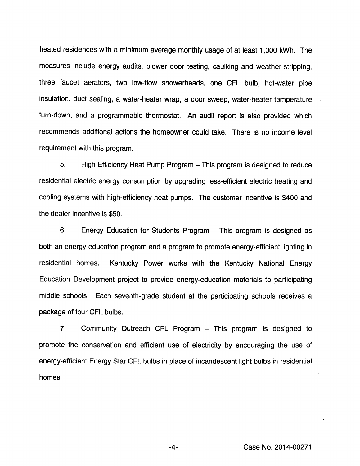heated residences with a minimum average monthly usage of at least 1,000 kWh. The measures include energy audits, blower door testing, caulking and weather-stripping, three faucet aerators, two low-flow showerheads, one CFL bulb, hot-water pipe insulation, duct sealing, a water-heater wrap, a door sweep, water-heater temperature turn-down, and a programmable thermostat. An audit report is also provided which recommends additional actions the homeowner could take. There is no income level requirement with this program.

5. High Efficiency Heat Pump Program – This program is designed to reduce residential electric energy consumption by upgrading less-efficient electric heating and cooling systems with high-efficiency heat pumps. The customer incentive is \$400 and the dealer incentive is \$50.

6. Energy Education for Students Program - This program is designed as both an energy-education program and a program to promote energy-efficient lighting in residential homes. Kentucky Power works with the Kentucky National Energy Education Development project to provide energy-education materials to participating middle schools. Each seventh-grade student at the participating schools receives a package of four CFL bulbs.

7. Community Outreach CFL Program - This program is designed to promote the conservation and efficient use of electricity by encouraging the use of energy-efficient Energy Star CFL bulbs in place of incandescent light bulbs in residential homes.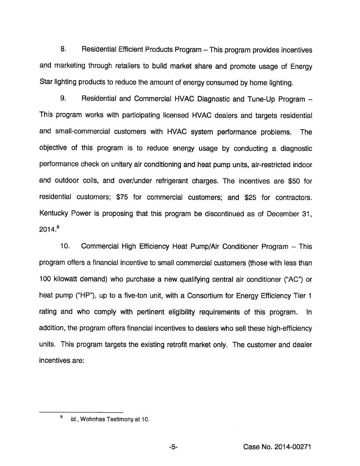8. Residential Efficient Products Program - This program provides incentives and marketing through retailers to build market share and promote usage of Energy Star lighting products to reduce the amount of energy consumed by home lighting.

9. Residential and Commercial HVAC Diagnostic and Tune-Up Program -This program works with participating licensed HVAC dealers and targets residential and small-commercial customers with HVAC system performance problems. The objective of this program is to reduce energy usage by conducting a diagnostic performance check on unitary air conditioning and heat pump units, air-restricted indoor and outdoor coils, and over/under refrigerant charges. The incentives are \$50 for residential customers; \$75 for commercial customers; and \$25 for contractors. Kentucky Power is proposing that this program be discontinued as of December 31,  $2014.<sup>8</sup>$ 

10. Commercial High Efficiency Heat Pump/Air Conditioner Program - This program offers a financial incentive to small commercial customers (those with less than 100 kilowatt demand) who purchase a new qualifying central air conditioner ("AC") or heat pump ("HP"), up to a five-ton unit, with a Consortium for Energy Efficiency Tier 1 rating and who comply with pertinent eligibility requirements of this program. In addition, the program offers financial incentives to dealers who sell these high-efficiency units. This program targets the existing retrofit market only. The customer and dealer incentives are:

<sup>&</sup>lt;sup>8</sup> Id., Wohnhas Testimony at 10.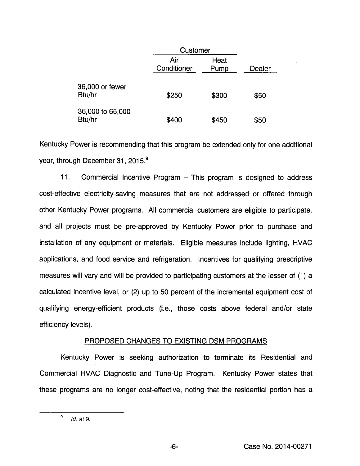|                            | Customer           |              |        |
|----------------------------|--------------------|--------------|--------|
|                            | Air<br>Conditioner | Heat<br>Pump | Dealer |
| 36,000 or fewer<br>Btu/hr  | \$250              | \$300        | \$50   |
| 36,000 to 65,000<br>Btu/hr | \$400              | \$450        | \$50   |

Kentucky Power is recommending that this program be extended only for one additional year, through December 31, 2015.®

11. Commercial Incentive Program – This program is designed to address cost-effective electricity-saving measures that are not addressed or offered through other Kentucky Power programs. All commercial customers are eligible to participate, and all projects must be pre-approved by Kentucky Power prior to purchase and installation of any equipment or materials. Eligible measures include lighting, HVAC applications, and food service and refrigeration. Incentives for qualifying prescriptive measures will vary and will be provided to participating customers at the lesser of (1) a calculated incentive level, or (2) up to 50 percent of the incremental equipment cost of qualifying energy-efficient products (i.e., those costs above federal and/or state efficiency levels).

### PROPOSED CHANGES TO EXISTING DSM PROGRAMS

Kentucky Power is seeking authorization to terminate its Residential and Commercial HVAC Diagnostic and Tune-Up Program. Kentucky Power states that these programs are no longer cost-effective, noting that the residential portion has a

 $-6-$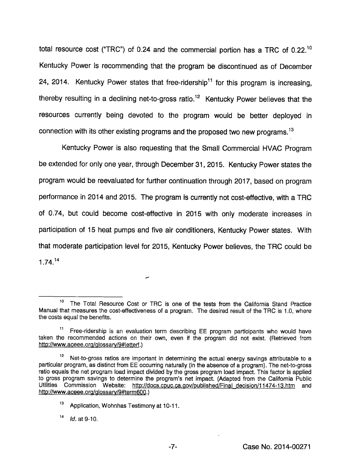total resource cost ("TRC") of 0.24 and the commercial portion has a TRC of 0.22.<sup>10</sup> Kentucky Power is recommending that the program be discontinued as of December 24, 2014. Kentucky Power states that free-ridership<sup>11</sup> for this program is increasing. thereby resulting in a declining net-to-gross ratio.<sup>12</sup> Kentucky Power believes that the resources currently being devoted to the program would be better deployed in connection with its other existing programs and the proposed two new programs.<sup>13</sup>

Kentucky Power is also requesting that the Small Commercial HVAC Program be extended for only one year, through December 31, 2015. Kentucky Power states the program would be reevaluated for further continuation through 2017, based on program performance in 2014 and 2015. The program is currently not cost-effective, with a TRC of 0.74, but could become cost-effective in 2015 with only moderate increases in participation of 15 heat pumps and five air conditioners, Kentucky Power states. With that moderate participation level for 2015, Kentucky Power believes, the TRC could be  $1.74.<sup>14</sup>$ 

ر

The Total Resource Cost or TRC is one of the tests from the California Stand Practice Manual that measures the cost-effectiveness of a program. The desired result of the TRC is 1.0, where the costs equal the benefits.

Free-ridership is an evaluation term describing EE program participants who would have taken the recommended actions on their own, even if the program did not exist. (Retrieved from http://www.aceee.org/glossary/9#letterf.)

 $12$  Net-to-gross ratios are important in determining the actual energy savings attributable to a particular program, as distinct from EE occurring naturally (in the absence of a program). The net-to-gross ratio equals the net program load impact divided by the gross program load impact. This factor is applied to gross program savings to determine the program's net impact. (Adapted from the Califomia Public Utilities Commission Website: http://docs.cpuc.ca.gov/published/Final decision/11474-13.htm and http://www.aceee.ora/alossarv/9#term600.)

<sup>13</sup> Application, Wohnhas Testimony at 10-11.

 $14$  $Id.$  at 9-10.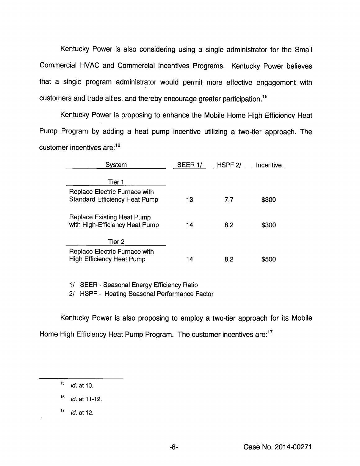Kentucky Power is also considering using a single administrator for the Small Commercial HVAC and Commercial Incentives Programs. Kentucky Power believes that a single program administrator would permit more effective engagement with customers and trade allies, and thereby encourage greater participation.<sup>15</sup>

Kentucky Power is proposing to enhance the Mobile Home High Efficiency Heat Pump Program by adding a heat pump incentive utilizing a two-tier approach. The customer incentives  $are:$ <sup>16</sup>

| Svstem                                                                | SEER 1/ | HSPF <sub>2</sub> / | Incentive |
|-----------------------------------------------------------------------|---------|---------------------|-----------|
| Tier 1                                                                |         |                     |           |
| Replace Electric Furnace with<br><b>Standard Efficiency Heat Pump</b> | 13      | 7.7                 | \$300     |
| Replace Existing Heat Pump<br>with High-Efficiency Heat Pump          | 14      | 8.2                 | \$300     |
| Tier 2                                                                |         |                     |           |
| Replace Electric Furnace with<br>High Efficiency Heat Pump            | 14      | 8.2                 | \$500     |

1/ SEER - Seasonal Energy Efficiency Ratio

2/ HSPF - Heating Seasonal Performance Factor

Kentucky Power is also proposing to employ a two-tier approach for its Mobile Home High Efficiency Heat Pump Program. The customer incentives are: $17$ 

 $15$  *Id.* at 10.

 $16$  *Id.* at 11-12.

 $17$  *Id.* at 12.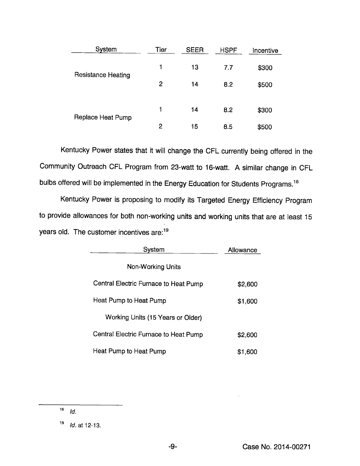| System             | Tier           | <b>SEER</b> | <b>HSPF</b> | Incentive |
|--------------------|----------------|-------------|-------------|-----------|
| Resistance Heating | 1              | 13          | 7.7         | \$300     |
|                    | $\overline{2}$ | 14          | 8.2         | \$500     |
| Replace Heat Pump  |                | 14          | 8.2         | \$300     |
|                    | 2              | 15          | 8.5         | \$500     |

Kentucky Power states that it will change the CFL currently being offered in the Community Outreach CFL Program from 23-watt to 16-watt. Asimilar change in CFL bulbs offered will be implemented in the Energy Education for Students Programs.<sup>18</sup>

Kentucky Power is proposing to modify its Targeted Energy Efficiency Program to provide allowances for both non-working units and working units that are at least 15 years old. The customer incentives are:<sup>19</sup>

| System                                | Allowance |  |
|---------------------------------------|-----------|--|
| <b>Non-Working Units</b>              |           |  |
| Central Electric Furnace to Heat Pump | \$2,600   |  |
| Heat Pump to Heat Pump                | \$1,600   |  |
| Working Units (15 Years or Older)     |           |  |
| Central Electric Furnace to Heat Pump | \$2,600   |  |
| Heat Pump to Heat Pump                | \$1,600   |  |

 $\overline{18}$  Id.

19 Id. at 12-13.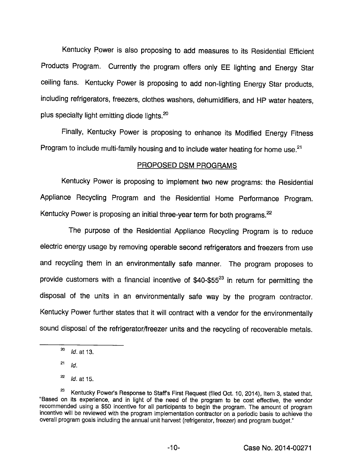Kentucky Power is also proposing to add measures to its Residential Efficient Products Program. Currently the program offers only EE lighting and Energy Star ceiling fans. Kentucky Power is proposing to add non-lighting Energy Star products, including refrigerators, freezers, clothes washers, dehumidifiers, and HP water heaters, plus specialty light emitting diode lights. $20$ 

Finally, Kentucky Power is proposing to enhance its Modified Energy Fitness Program to include multi-family housing and to include water heating for home use. $21$ 

## PROPOSED DSM PROGRAMS

Kentucky Power is proposing to implement two new programs: the Residential Appliance Recycling Program and the Residential Home Performance Program. Kentucky Power is proposing an initial three-year term for both programs.<sup>22</sup>

The purpose of the Residential Appliance Recycling Program is to reduce electric energy usage by removing operable second refrigerators and freezers from use and recycling them in an environmentally safe manner. The program proposes to provide customers with a financial incentive of  $$40-$55<sup>23</sup>$  in return for permitting the disposal of the units in an environmentally safe way by the program contractor. Kentucky Power further states that it will contract with a vendor for the environmentally sound disposal of the refrigerator/freezer units and the recycling of recoverable metals.

 $^{20}$  *Id.* at 13.

 $^{21}$  Id.

 $^{22}$  *ld.* at 15.

<sup>&</sup>lt;sup>23</sup> Kentucky Power's Response to Staff's First Request (filed Oct. 10, 2014), Item 3, stated that, "Based on its experience, and in light of the need of the program to be cost effective, the vendor recommended using a \$50 incentive for all participants to begin the program. The amount of program incentive will be reviewed with the program implementation contractor on a periodic basis to achieve the overall program goals including the annual unit harvest (refrigerator, freezer) and program budget."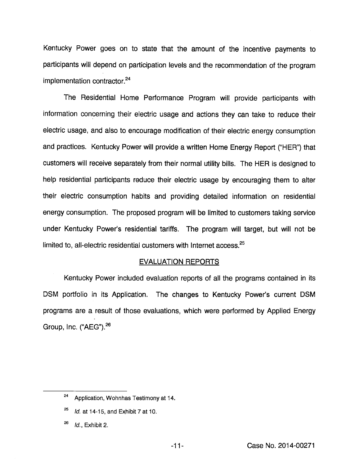Kentucky Power goes on to state that the amount of the incentive payments to participants will depend on participation levels and the recommendation of the program  $implementation contractor.<sup>24</sup>$ 

The Residential Home Performance Program will provide participants with information concerning their electric usage and actions they can take to reduce their electric usage, and also to encourage modification of their electric energy consumption and practices. Kentucky Power will provide a written Home Energy Report ("HER") that customers will receive separately from their normal utility bills. The HER is designed to help residential participants reduce their electric usage by encouraging them to alter their electric consumption habits and providing detailed information on residential energy consumption. The proposed program will be limited to customers taking service under Kentucky Power's residential tariffs. The program will target, but will not be limited to, all-electric residential customers with Internet access.<sup>25</sup>

#### EVALUATION REPORTS

Kentucky Power included evaluation reports of all the programs contained in its DSM portfolio in its Application. The changes to Kentucky Power's current DSM programs are a result of those evaluations, which were performed by Applied Energy Group, Inc. ("AEG").<sup>26</sup>

<sup>&</sup>lt;sup>24</sup> Application, Wohnhas Testimony at 14.

 $^{25}$  Id. at 14-15, and Exhibit 7 at 10.

Id., Exhibit 2.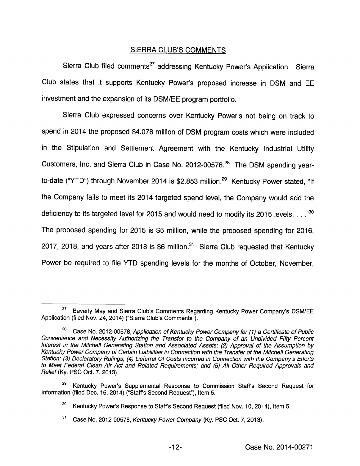## SIERRA CLUB'S COMMENTS

Sierra Club filed comments<sup>27</sup> addressing Kentucky Power's Application. Sierra Club states that it supports Kentucky Power's proposed increase in DSM and EE investment and the expansion of its DSM/EE program portfolio.

Sierra Club expressed concerns over Kentucky Power's not being on track to spend in 2014 the proposed \$4,078 million of DSM program costs which were included in the Stipulation and Settlement Agreement with the Kentucky Industrial Utility Customers, Inc. and Sierra Club in Case No. 2012-00578.<sup>28</sup> The DSM spending yearto-date ("YTD") through November 2014 is \$2.853 million.<sup>29</sup> Kentucky Power stated, "If the Company fails to meet its 2014 targeted spend level, the Company would add the deficiency to its targeted level for 2015 and would need to modify its 2015 levels.  $\ldots$ <sup>30</sup> The proposed spending for 2015 is \$5 million, while the proposed spending for 2016, 2017, 2018, and years after 2018 is  $$6$  million.<sup>31</sup> Sierra Club requested that Kentucky Power be required to file YTD spending levels for the months of October, November,

<sup>27</sup> Beverly May and Sierra Club's Comments Regarding Kentucky Power Company's DSM/EE Application (filed Nov. 24, 2014) ("Sierra Club's Comments").

<sup>&</sup>lt;sup>28</sup> Case No. 2012-00578, Application of Kentucky Power Company for (1) a Certificate of Public Convenience and Necessity Authorizing the Transfer to the Company of an Undivided Fifty Percent Interest in the Mitchell Generating Station and Associated Assets; (2) Approval of the Assumption by Kentucky Power Company of Certain Liabilities in Connection with the Transfer of the Mitchell Generating Station; (3) Declaratory Rulings; (4) Deferral Of Costs incurred in Connection with the Company's Efforts to Meet Federal Clean Air Act and Related Requirements; and (5) All Other Required Approvals and Relief (Ky. PSC Oct. 7, 2013).

Kentucky Power's Supplemental Response to Commission Staff's Second Request for Information (filed Dec. 15, 2014) ("Staffs Second Request"), Item 5.

<sup>30</sup> Kentucky Power's Response to Staffs Second Request (filed Nov. 10, 2014), Item 5.

 $31$ Case No. 2012-00578, Kentucky Power Company (Ky. PSC Oct. 7, 2013).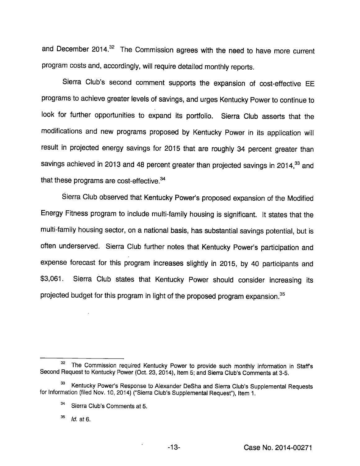and December 2014. $32$  The Commission agrees with the need to have more current program costs and, accordingly, will require detailed monthly reports.

Sierra Club's second comment supports the expansion of cost-effective EE programs to achieve greater levels of savings, and urges Kentucky Power to continue to look for further opportunities to expand its portfolio. Sierra Club asserts that the modifications and new programs proposed by Kentucky Power in its application will result in projected energy savings for 2015 that are roughly 34 percent greater than savings achieved in 2013 and 48 percent greater than projected savings in 2014, $33$  and that these programs are cost-effective. $34$ 

Sierra Club observed that Kentucky Power's proposed expansion of the Modified Energy Fitness program to include multi-family housing is significant. It states that the multi-family housing sector, on a national basis, has substantial savings potential, but is often underserved. Sierra Club further notes that Kentucky Power's participation and expense forecast for this program increases slightly in 2015, by 40 participants and \$3,061. Sierra Club states that Kentucky Power should consider increasing its projected budget for this program in light of the proposed program expansion.<sup>35</sup>

 $^{35}$  *Id.* at 6.

<sup>32</sup> The Commission required Kentucky Power to provide such monthly information in Staffs Second Request to Kentucky Power (Oct. 23, 2014), Item 5; and Sierra Club's Comments at 3-5.

<sup>33</sup> Kentucky Power's Response to Alexander DeSha and Sierra Club's Supplemental Requests for Information (filed Nov. 10, 2014) ("Sierra Club's Supplemental Request"), Item 1.

<sup>34</sup> Sierra Club's Comments at 5.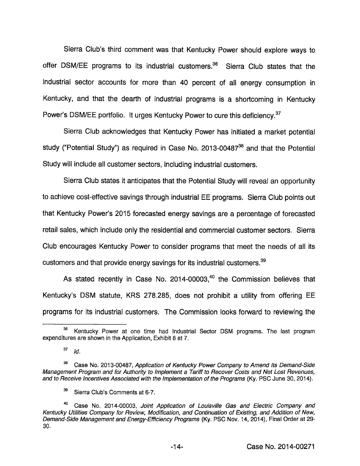Sierra Club's third comment was that Kentucky Power should explore ways to offer DSM/EE programs to its industrial customers.<sup>36</sup> Sierra Club states that the industrial sector accounts for more than 40 percent of all energy consumption in Kentucky, and that the dearth of industrial programs is a shortcoming in Kentucky Power's DSM/EE portfolio. It urges Kentucky Power to cure this deficiency.<sup>37</sup>

Sierra Club acknowledges that Kentucky Power has initiated a market potential study ("Potential Study") as required in Case No. 2013-00487 $38$  and that the Potential Study will include all customer sectors, including industrial customers.

Sierra Club states it anticipates that the Potential Study will reveal an opportunity to achieve cost-effective savings through industrial EE programs. Sierra Club points out that Kentucky Power's 2015 forecasted energy savings are a percentage of forecasted retail sales, which include only the residential and commercial customer sectors. Sierra Club encourages Kentucky Power to consider programs that meet the needs of all its customers and that provide energy savings for its industrial customers.<sup>39</sup>

As stated recently in Case No.  $2014 \cdot 00003$ ,<sup>40</sup> the Commission believes that Kentucky's DSM statute, KRS 278.285, does not prohibit a utility from offering EE programs for Its Industrial customers. The Commission looks forward to reviewing the

<sup>&</sup>lt;sup>36</sup> Kentucky Power at one time had Industrial Sector DSM programs. The last program expenditures are shown in the Application, Exhibit 8 at 7.

 $\bf{37}$ Id.

 $38$  Case No. 2013-00487, Application of Kentucky Power Company to Amend Its Demand-Side Management Program and for Authority to Implement a Tariff to Recover Costs and Net Lost Revenues, and to Receive Incentives Associated with the Implementation of the Programs (Ky. PSG June 30, 2014).

 $39$  Sierra Club's Comments at 6-7.

<sup>&</sup>lt;sup>40</sup> Case No. 2014-00003, Joint Application of Louisville Gas and Electric Company and Kentucky Utilities Company for Review, Modification, and Continuation of Existing, and Addition of New, Demand-Side Management and Energy-Efficiency Programs (Ky. PSC Nov. 14, 2014), Final Order at 29- 30.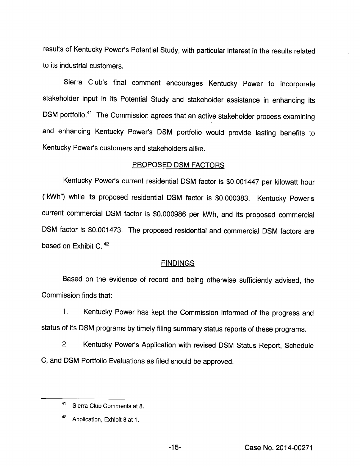results of Kentucky Power's Potential Study, with particular interest in the results related to its industrial custonners.

Sierra Club's final comment encourages Kentucky Power to incorporate stakeholder input in its Potential Study and stakeholder assistance in enhancing its DSM portfolio.<sup>41</sup> The Commission agrees that an active stakeholder process examining and enhancing Kentucky Power's DSM portfolio would provide lasting benefits to Kentucky Power's customers and stakeholders alike.

### PROPOSED DSM FACTORS

Kentucky Power's current residential DSM factor is \$0.001447 per kilowatt hour ("kWh") while its proposed residential DSM factor is \$0.000383. Kentucky Power's current commercial DSM factor is \$0.000986 per kWh, and its proposed commercial DSM factor is \$0.001473. The proposed residential and commercial DSM factors are based on Exhibit C.<sup>42</sup>

## **FINDINGS**

Based on the evidence of record and being otherwise sufficiently advised, the Commission finds that:

1. Kentucky Power has kept the Commission informed of the progress and status of its DSM programs by timely filing summary status reports of these programs.

2. Kentucky Power's Application with revised DSM Status Report, Schedule C, and DSM Portfolio Evaluations as filed should be approved.

<sup>41</sup> Sierra Club Comments at 8.

<sup>42</sup> Application, Exhibit 8 at 1.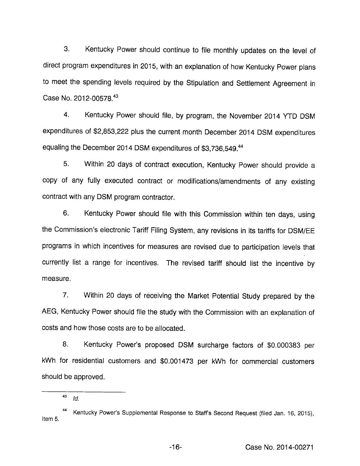3. Kentucky Power should continue to file monthly updates on the level of direct program expenditures in 2015, with an explanation of how Kentucky Power plans to meet the spending levels required by the Stipulation and Settlement Agreement in Case No. 2012-00578.<sup>43</sup>

4. Kentucky Power should file, by program, the November 2014 YTD DSM expenditures of \$2,853,222 plus the current month December 2014 DSM expenditures equaling the December 2014 DSM expenditures of \$3,736,549.<sup>44</sup>

5. Within 20 days of contract execution, Kentucky Power should provide a copy of any fully executed contract or modifications/amendments of any existing contract with any DSM program contractor.

6. Kentucky Power should file with this Commission within ten days, using the Commission's electronic Tariff Filing System, any revisions in its tariffs for DSM/EE programs in which incentives for measures are revised due to participation levels that currently list a range for incentives. The revised tariff should list the incentive by measure.

7. Within 20 days of receiving the Market Potential Study prepared by the AEG, Kentucky Power should file the study with the Commission with an explanation of costs and how those costs are to be allocated.

8. Kentucky Power's proposed DSM surcharge factors of \$0.000383 per kWh for residential customers and \$0.001473 per kWh for commercial customers should be approved.

<sup>43</sup> Id.

Kentucky Power's Supplemental Response to Staffs Second Request (filed Jan. 16, 2015), Item 5.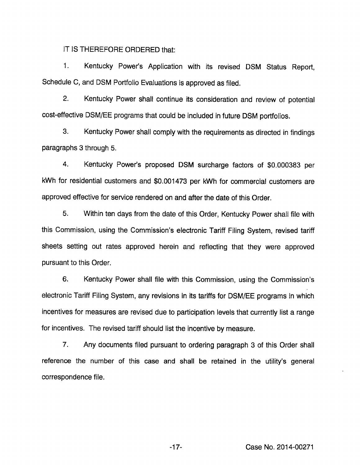IT IS THEREFORE ORDERED that:

1. Kentucky Power's Application with its revised DSM Status Report, Schedule C, and DSM Portfolio Evaluations is approved as filed.

2. Kentucky Power shall continue its consideration and review of potential cost-effective DSM/EE programs that could be included in future DSM portfolios.

3. Kentucky Power shall comply with the requirements as directed in findings paragraphs 3 through 5.

4. Kentucky Power's proposed DSM surcharge factors of \$0.000383 per kWh for residential customers and \$0.001473 per kWh for commercial customers are approved effective for service rendered on and after the date of this Order.

5. Within ten days from the date of this Order, Kentucky Power shall file with this Commission, using the Commission's electronic Tariff Filing System, revised tariff sheets setting out rates approved herein and reflecting that they were approved pursuant to this Order.

6. Kentucky Power shall file with this Commission, using the Commission's electronic Tariff Filing System, any revisions in its tariffs for DSM/EE programs in which incentives for measures are revised due to participation levels that currently list a range for incentives. The revised tariff should list the incentive by measure.

7. Any documents filed pursuant to ordering paragraph 3 of this Order shall reference the number of this case and shall be retained in the utility's general correspondence file.

-17- Case No. 2014-00271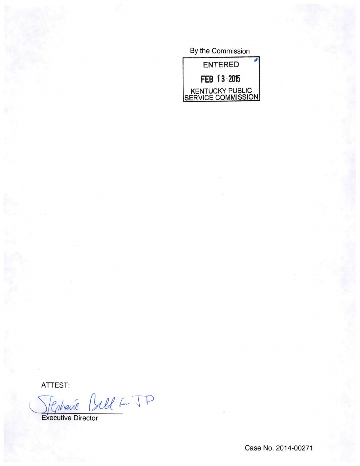By the Commission



ATTEST:<br>Jephane Bill 6- TP

Executive Director